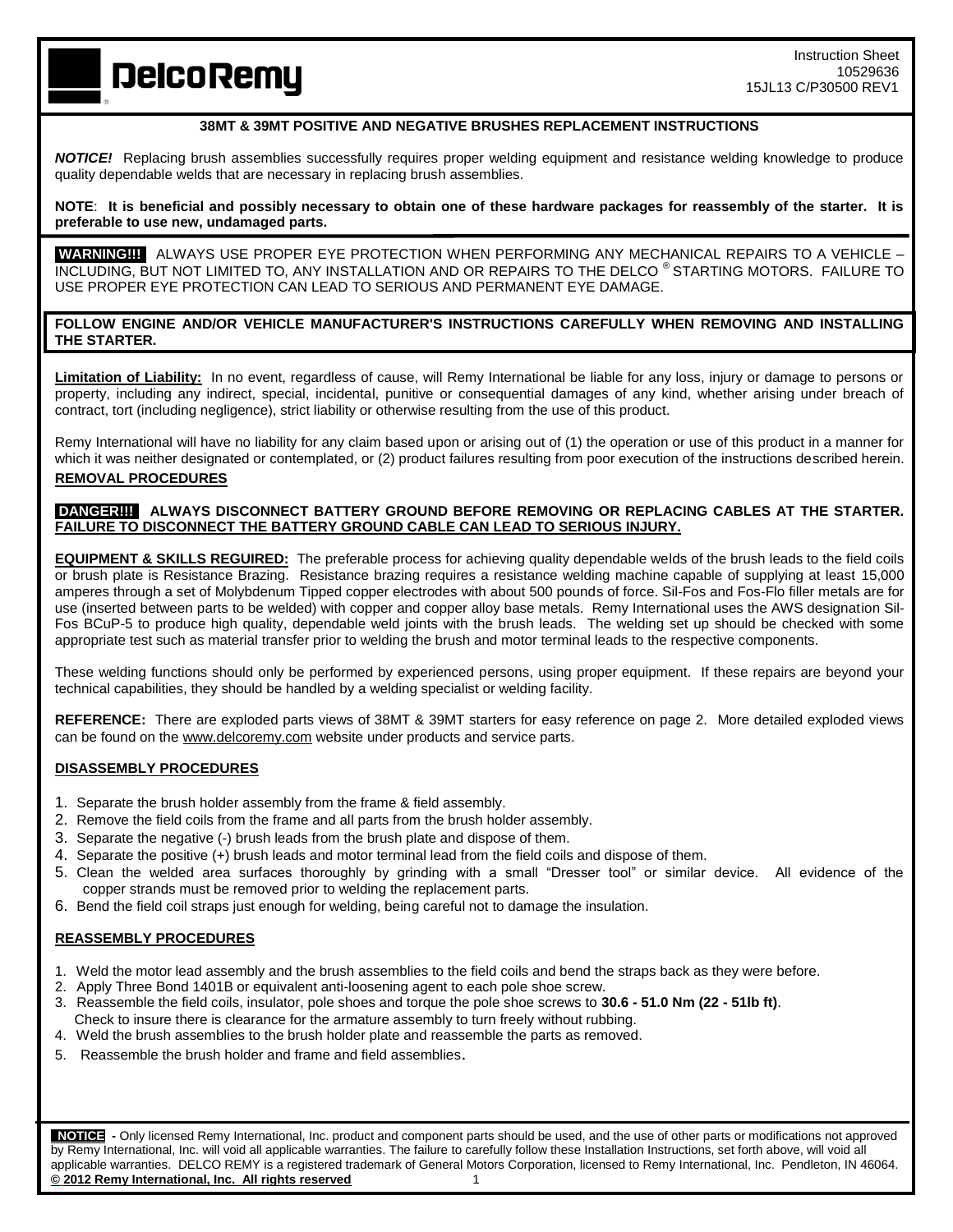**DelcoRemy** 

# **38MT & 39MT POSITIVE AND NEGATIVE BRUSHES REPLACEMENT INSTRUCTIONS**

*NOTICE!* Replacing brush assemblies successfully requires proper welding equipment and resistance welding knowledge to produce quality dependable welds that are necessary in replacing brush assemblies.

**NOTE**: **It is beneficial and possibly necessary to obtain one of these hardware packages for reassembly of the starter. It is preferable to use new, undamaged parts.** 

**WARNING!!!** ALWAYS USE PROPER EYE PROTECTION WHEN PERFORMING ANY MECHANICAL REPAIRS TO A VEHICLE – INCLUDING, BUT NOT LIMITED TO, ANY INSTALLATION AND OR REPAIRS TO THE DELCO ® STARTING MOTORS. FAILURE TO USE PROPER EYE PROTECTION CAN LEAD TO SERIOUS AND PERMANENT EYE DAMAGE.

# **FOLLOW ENGINE AND/OR VEHICLE MANUFACTURER'S INSTRUCTIONS CAREFULLY WHEN REMOVING AND INSTALLING THE STARTER.**

**Limitation of Liability:** In no event, regardless of cause, will Remy International be liable for any loss, injury or damage to persons or property, including any indirect, special, incidental, punitive or consequential damages of any kind, whether arising under breach of contract, tort (including negligence), strict liability or otherwise resulting from the use of this product.

Remy International will have no liability for any claim based upon or arising out of (1) the operation or use of this product in a manner for which it was neither designated or contemplated, or (2) product failures resulting from poor execution of the instructions described herein. **REMOVAL PROCEDURES**

### **DANGER!!! ALWAYS DISCONNECT BATTERY GROUND BEFORE REMOVING OR REPLACING CABLES AT THE STARTER. FAILURE TO DISCONNECT THE BATTERY GROUND CABLE CAN LEAD TO SERIOUS INJURY.**

**EQUIPMENT & SKILLS REGUIRED:** The preferable process for achieving quality dependable welds of the brush leads to the field coils or brush plate is Resistance Brazing. Resistance brazing requires a resistance welding machine capable of supplying at least 15,000 amperes through a set of Molybdenum Tipped copper electrodes with about 500 pounds of force. Sil-Fos and Fos-Flo filler metals are for use (inserted between parts to be welded) with copper and copper alloy base metals. Remy International uses the AWS designation Sil-Fos BCuP-5 to produce high quality, dependable weld joints with the brush leads. The welding set up should be checked with some appropriate test such as material transfer prior to welding the brush and motor terminal leads to the respective components.

These welding functions should only be performed by experienced persons, using proper equipment. If these repairs are beyond your technical capabilities, they should be handled by a welding specialist or welding facility.

**REFERENCE:** There are exploded parts views of 38MT & 39MT starters for easy reference on page 2. More detailed exploded views can be found on the www.delcoremy.com website under products and service parts.

### **DISASSEMBLY PROCEDURES**

- 1. Separate the brush holder assembly from the frame & field assembly.
- 2. Remove the field coils from the frame and all parts from the brush holder assembly.
- 3. Separate the negative (-) brush leads from the brush plate and dispose of them.
- 4. Separate the positive (+) brush leads and motor terminal lead from the field coils and dispose of them.
- 5. Clean the welded area surfaces thoroughly by grinding with a small "Dresser tool" or similar device. All evidence of the copper strands must be removed prior to welding the replacement parts.
- 6. Bend the field coil straps just enough for welding, being careful not to damage the insulation.

#### **REASSEMBLY PROCEDURES**

- 1. Weld the motor lead assembly and the brush assemblies to the field coils and bend the straps back as they were before.
- 2. Apply Three Bond 1401B or equivalent anti-loosening agent to each pole shoe screw.
- 3. Reassemble the field coils, insulator, pole shoes and torque the pole shoe screws to **30.6 - 51.0 Nm (22 - 51lb ft)**. Check to insure there is clearance for the armature assembly to turn freely without rubbing.
- 4. Weld the brush assemblies to the brush holder plate and reassemble the parts as removed.
- 5. Reassemble the brush holder and frame and field assemblies.

 **NOTICE -** Only licensed Remy International, Inc. product and component parts should be used, and the use of other parts or modifications not approved by Remy International, Inc. will void all applicable warranties. The failure to carefully follow these Installation Instructions, set forth above, will void all applicable warranties. DELCO REMY is a registered trademark of General Motors Corporation, licensed to Remy International, Inc. Pendleton, IN 46064. **© 2012 Remy International, Inc. All rights reserved** 1